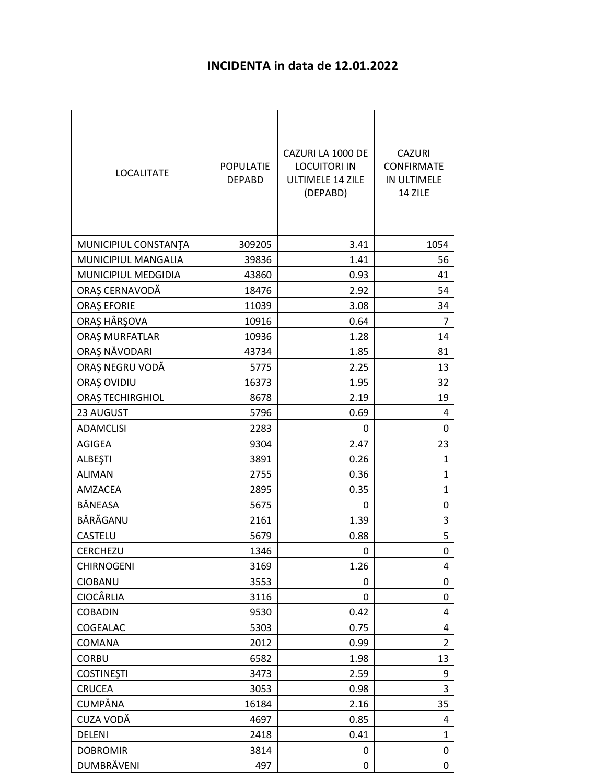## **INCIDENTA in data de 12.01.2022**

| <b>LOCALITATE</b>       | <b>POPULATIE</b><br><b>DEPABD</b> | CAZURI LA 1000 DE<br><b>LOCUITORI IN</b><br><b>ULTIMELE 14 ZILE</b><br>(DEPABD) | <b>CAZURI</b><br><b>CONFIRMATE</b><br>IN ULTIMELE<br>14 ZILE |
|-------------------------|-----------------------------------|---------------------------------------------------------------------------------|--------------------------------------------------------------|
| MUNICIPIUL CONSTANTA    | 309205                            | 3.41                                                                            | 1054                                                         |
| MUNICIPIUL MANGALIA     | 39836                             | 1.41                                                                            | 56                                                           |
| MUNICIPIUL MEDGIDIA     | 43860                             | 0.93                                                                            | 41                                                           |
| ORAȘ CERNAVODĂ          | 18476                             | 2.92                                                                            | 54                                                           |
| <b>ORAȘ EFORIE</b>      | 11039                             | 3.08                                                                            | 34                                                           |
| ORAȘ HÂRȘOVA            | 10916                             | 0.64                                                                            | 7                                                            |
| ORAȘ MURFATLAR          | 10936                             | 1.28                                                                            | 14                                                           |
| ORAȘ NĂVODARI           | 43734                             | 1.85                                                                            | 81                                                           |
| ORAȘ NEGRU VODĂ         | 5775                              | 2.25                                                                            | 13                                                           |
| ORAȘ OVIDIU             | 16373                             | 1.95                                                                            | 32                                                           |
| <b>ORAȘ TECHIRGHIOL</b> | 8678                              | 2.19                                                                            | 19                                                           |
| 23 AUGUST               | 5796                              | 0.69                                                                            | 4                                                            |
| <b>ADAMCLISI</b>        | 2283                              | 0                                                                               | 0                                                            |
| <b>AGIGEA</b>           | 9304                              | 2.47                                                                            | 23                                                           |
| ALBEŞTI                 | 3891                              | 0.26                                                                            | 1                                                            |
| <b>ALIMAN</b>           | 2755                              | 0.36                                                                            | 1                                                            |
| AMZACEA                 | 2895                              | 0.35                                                                            | $\mathbf{1}$                                                 |
| BĂNEASA                 | 5675                              | 0                                                                               | 0                                                            |
| BĂRĂGANU                | 2161                              | 1.39                                                                            | 3                                                            |
| <b>CASTELU</b>          | 5679                              | 0.88                                                                            | 5                                                            |
| CERCHEZU                | 1346                              | 0                                                                               | 0                                                            |
| <b>CHIRNOGENI</b>       | 3169                              | 1.26                                                                            | 4                                                            |
| CIOBANU                 | 3553                              | 0                                                                               | 0                                                            |
| <b>CIOCÂRLIA</b>        | 3116                              | 0                                                                               | 0                                                            |
| <b>COBADIN</b>          | 9530                              | 0.42                                                                            | 4                                                            |
| COGEALAC                | 5303                              | 0.75                                                                            | 4                                                            |
| COMANA                  | 2012                              | 0.99                                                                            | $\overline{2}$                                               |
| <b>CORBU</b>            | 6582                              | 1.98                                                                            | 13                                                           |
| <b>COSTINEȘTI</b>       | 3473                              | 2.59                                                                            | 9                                                            |
| <b>CRUCEA</b>           | 3053                              | 0.98                                                                            | 3                                                            |
| CUMPĂNA                 | 16184                             | 2.16                                                                            | 35                                                           |
| CUZA VODĂ               | 4697                              | 0.85                                                                            | 4                                                            |
| DELENI                  | 2418                              | 0.41                                                                            | $\mathbf{1}$                                                 |
| <b>DOBROMIR</b>         | 3814                              | 0                                                                               | 0                                                            |
| DUMBRÄVENI              | 497                               | 0                                                                               | 0                                                            |